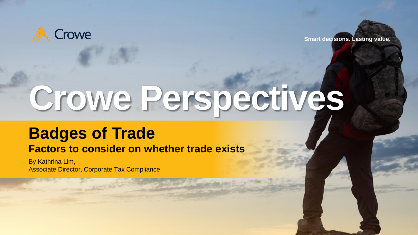

**Smart decisions. Lasting value.**

# **Crowe Perspectives**

# **Badges of Trade**

# **Factors to consider on whether trade exists**

By Kathrina Lim, Associate Director, Corporate Tax Compliance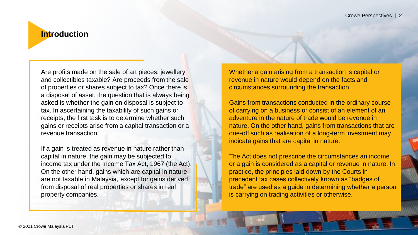# **Introduction**

Are profits made on the sale of art pieces, jewellery and collectibles taxable? Are proceeds from the sale of properties or shares subject to tax? Once there is a disposal of asset, the question that is always being asked is whether the gain on disposal is subject to tax. In ascertaining the taxability of such gains or receipts, the first task is to determine whether such gains or receipts arise from a capital transaction or a revenue transaction.

If a gain is treated as revenue in nature rather than capital in nature, the gain may be subjected to income tax under the Income Tax Act, 1967 (the Act). On the other hand, gains which are capital in nature are not taxable in Malaysia, except for gains derived from disposal of real properties or shares in real property companies.

Whether a gain arising from a transaction is capital or revenue in nature would depend on the facts and circumstances surrounding the transaction.

Gains from transactions conducted in the ordinary course of carrying on a business or consist of an element of an adventure in the nature of trade would be revenue in nature. On the other hand, gains from transactions that are one-off such as realisation of a long-term investment may indicate gains that are capital in nature.

The Act does not prescribe the circumstances an income or a gain is considered as a capital or revenue in nature. In practice, the principles laid down by the Courts in precedent tax cases collectively known as "badges of trade" are used as a guide in determining whether a person is carrying on trading activities or otherwise.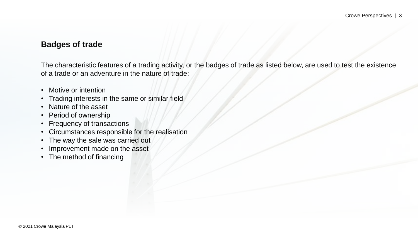## **Badges of trade**

The characteristic features of a trading activity, or the badges of trade as listed below, are used to test the existence of a trade or an adventure in the nature of trade:

- Motive or intention
- Trading interests in the same or similar field
- Nature of the asset
- Period of ownership
- Frequency of transactions
- Circumstances responsible for the realisation
- The way the sale was carried out
- Improvement made on the asset
- The method of financing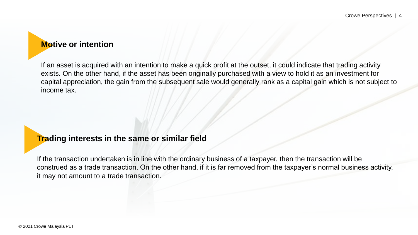# **Motive or intention**

If an asset is acquired with an intention to make a quick profit at the outset, it could indicate that trading activity exists. On the other hand, if the asset has been originally purchased with a view to hold it as an investment for capital appreciation, the gain from the subsequent sale would generally rank as a capital gain which is not subject to income tax.

# **Trading interests in the same or similar field**

If the transaction undertaken is in line with the ordinary business of a taxpayer, then the transaction will be construed as a trade transaction. On the other hand, if it is far removed from the taxpayer's normal business activity, it may not amount to a trade transaction.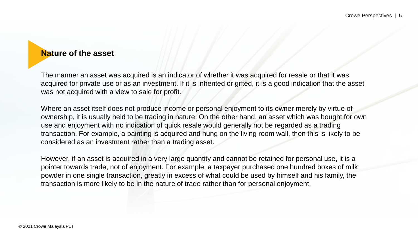# **Nature of the asset**

The manner an asset was acquired is an indicator of whether it was acquired for resale or that it was acquired for private use or as an investment. If it is inherited or gifted, it is a good indication that the asset was not acquired with a view to sale for profit.

Where an asset itself does not produce income or personal enjoyment to its owner merely by virtue of ownership, it is usually held to be trading in nature. On the other hand, an asset which was bought for own use and enjoyment with no indication of quick resale would generally not be regarded as a trading transaction. For example, a painting is acquired and hung on the living room wall, then this is likely to be considered as an investment rather than a trading asset.

However, if an asset is acquired in a very large quantity and cannot be retained for personal use, it is a pointer towards trade, not of enjoyment. For example, a taxpayer purchased one hundred boxes of milk powder in one single transaction, greatly in excess of what could be used by himself and his family, the transaction is more likely to be in the nature of trade rather than for personal enjoyment.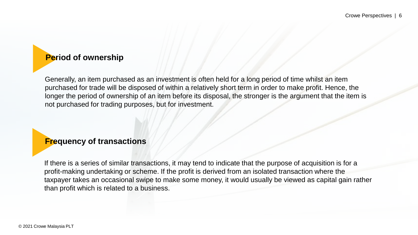# **Period of ownership**

Generally, an item purchased as an investment is often held for a long period of time whilst an item purchased for trade will be disposed of within a relatively short term in order to make profit. Hence, the longer the period of ownership of an item before its disposal, the stronger is the argument that the item is not purchased for trading purposes, but for investment.

# **Frequency of transactions**

If there is a series of similar transactions, it may tend to indicate that the purpose of acquisition is for a profit-making undertaking or scheme. If the profit is derived from an isolated transaction where the taxpayer takes an occasional swipe to make some money, it would usually be viewed as capital gain rather than profit which is related to a business.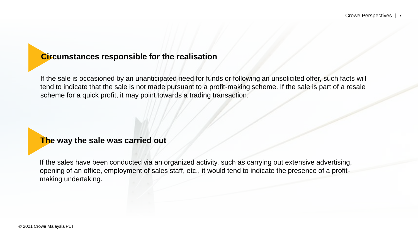# **Circumstances responsible for the realisation**

If the sale is occasioned by an unanticipated need for funds or following an unsolicited offer, such facts will tend to indicate that the sale is not made pursuant to a profit-making scheme. If the sale is part of a resale scheme for a quick profit, it may point towards a trading transaction.

## **The way the sale was carried out**

If the sales have been conducted via an organized activity, such as carrying out extensive advertising, opening of an office, employment of sales staff, etc., it would tend to indicate the presence of a profitmaking undertaking.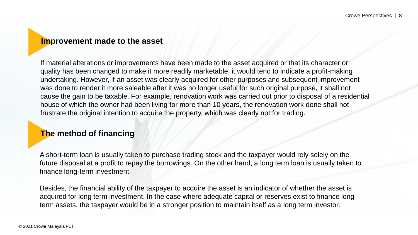### **Improvement made to the asset**

If material alterations or improvements have been made to the asset acquired or that its character or quality has been changed to make it more readily marketable, it would tend to indicate a profit-making undertaking. However, if an asset was clearly acquired for other purposes and subsequent improvement was done to render it more saleable after it was no longer useful for such original purpose, it shall not cause the gain to be taxable. For example, renovation work was carried out prior to disposal of a residential house of which the owner had been living for more than 10 years, the renovation work done shall not frustrate the original intention to acquire the property, which was clearly not for trading.

# **The method of financing**

A short-term loan is usually taken to purchase trading stock and the taxpayer would rely solely on the future disposal at a profit to repay the borrowings. On the other hand, a long term loan is usually taken to finance long-term investment.

Besides, the financial ability of the taxpayer to acquire the asset is an indicator of whether the asset is acquired for long term investment. In the case where adequate capital or reserves exist to finance long term assets, the taxpayer would be in a stronger position to maintain itself as a long term investor.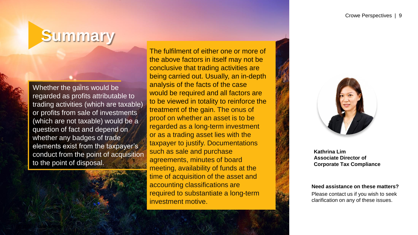# **Summary**

Whether the gains would be regarded as profits attributable to trading activities (which are taxable) or profits from sale of investments (which are not taxable) would be a question of fact and depend on whether any badges of trade elements exist from the taxpayer's conduct from the point of acquisition to the point of disposal.

The fulfilment of either one or more of the above factors in itself may not be conclusive that trading activities are being carried out. Usually, an in-depth analysis of the facts of the case would be required and all factors are to be viewed in totality to reinforce the treatment of the gain. The onus of proof on whether an asset is to be regarded as a long-term investment or as a trading asset lies with the taxpayer to justify. Documentations such as sale and purchase agreements, minutes of board meeting, availability of funds at the time of acquisition of the asset and accounting classifications are required to substantiate a long-term investment motive.



**Kathrina Lim Associate Director of Corporate Tax Compliance**

**Need assistance on these matters?** Please contact us if you wish to seek clarification on any of these issues.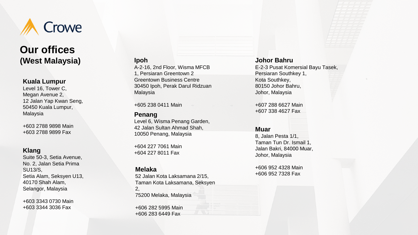

# **Our offices (West Malaysia)**

#### **Kuala Lumpur**

Level 16, Tower C, Megan Avenue 2, 12 Jalan Yap Kwan Seng, 50450 Kuala Lumpur, Malaysia

+603 2788 9898 Main +603 2788 9899 Fax

#### **Klang**

Suite 50 -3, Setia Avenue, No. 2, Jalan Setia Prima SU13/S, Setia Alam, Seksyen U13, 40170 Shah Alam, Selangor, Malaysia

+603 3343 0730 Main +603 3344 3036 Fax

#### **Ipoh**

A-2-16, 2nd Floor, Wisma MFCB 1, Persiaran Greentown 2 Greentown Business Centre 30450 Ipoh, Perak Darul Ridzuan Malaysia

+605 238 0411 Main

#### **Penang**

Level 6, Wisma Penang Garden, 42 Jalan Sultan Ahmad Shah, 10050 Penang, Malaysia

+604 227 7061 Main +604 227 8011 Fax

#### **Melaka**

52 Jalan Kota Laksamana 2/15, Taman Kota Laksamana, Seksyen 2, 75200 Melaka, Malaysia

+606 282 5995 Main +606 283 6449 Fax

#### **Johor Bahru**

E-2-3 Pusat Komersial Bayu Tasek , Persiaran Southkey 1, Kota Southkey , 80150 Johor Bahru , Johor, Malaysia

+607 288 6627 Main +607 338 4627 Fax

#### **Muar**

8, Jalan Pesta 1/1, Taman Tun Dr. Ismail 1, Jalan Bakri, 84000 Muar, Johor, Malaysia

+606 952 4328 Main +606 952 7328 Fax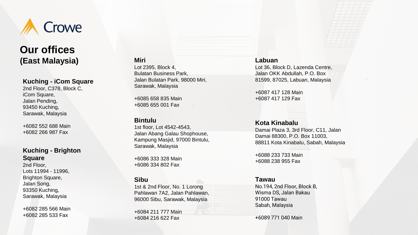

# **Our offices (East Malaysia)**

#### **Kuching - iCom Square**

2nd Floor, C378, Block C, iCom Square, Jalan Pending, 93450 Kuching, Sarawak, Malaysia

+6082 552 688 Main +6082 266 987 Fax

#### **Kuching - Brighton Square**

2nd Floor, Lots 11994 - 11996, Brighton Square, Jalan Song, 93350 Kuching, Sarawak, Malaysia

+6082 285 566 Main +6082 285 533 Fax

#### **Miri** Lot 2395, Block 4, Bulatan Business Park, Jalan Bulatan Park, 98000 Miri, Sarawak, Malaysia

+6085 658 835 Main +6085 655 001 Fax

#### **Bintulu**

1st floor, Lot 4542 -4543, Jalan Abang Galau Shophouse , Kampung Masjid, 97000 Bintulu, Sarawak, Malaysia

+6086 333 328 Main +6086 334 802 Fax

#### **Sibu**

1st & 2nd Floor, No. 1 Lorong Pahlawan 7A2, Jalan Pahlawan, 96000 Sibu, Sarawak, Malaysia

+6084 211 777 Main +6084 216 622 Fax

#### **Labuan**

Lot 36, Block D, Lazenda Centre, Jalan OKK Abdullah, P.O. Box 81599, 87025, Labuan, Malaysia

+6087 417 128 Main +6087 417 129 Fax

#### **Kota Kinabalu**

Damai Plaza 3, 3rd Floor, C11, Jalan Damai 88300, P.O. Box 11003, 88811 Kota Kinabalu, Sabah, Malaysia

+6088 233 733 Main +6088 238 955 Fax

#### **Tawau**

No.194, 2nd Floor, Block B, Wisma DS, Jalan Bakau 91000 Tawau Sabah, Malaysia

+6089 771 040 Main